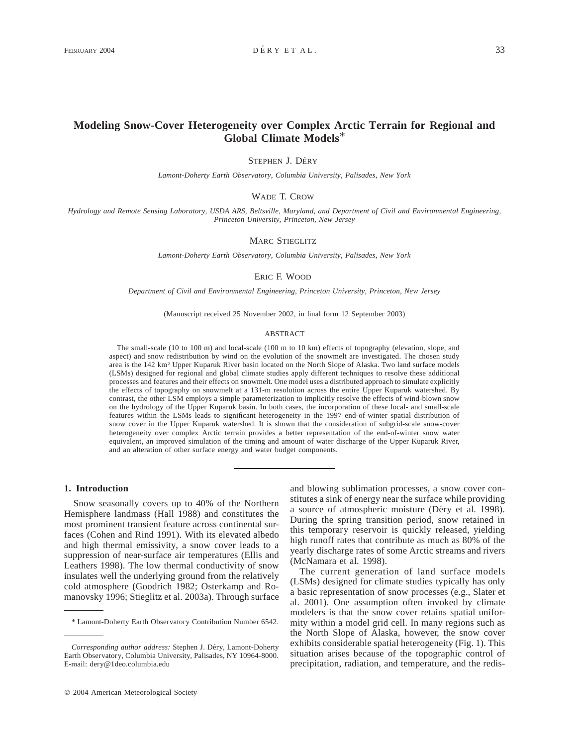# **Modeling Snow-Cover Heterogeneity over Complex Arctic Terrain for Regional and Global Climate Models**\*

STEPHEN J. DÉRY

*Lamont-Doherty Earth Observatory, Columbia University, Palisades, New York*

WADE T. CROW

*Hydrology and Remote Sensing Laboratory, USDA ARS, Beltsville, Maryland, and Department of Civil and Environmental Engineering, Princeton University, Princeton, New Jersey*

MARC STIEGLITZ

*Lamont-Doherty Earth Observatory, Columbia University, Palisades, New York*

ERIC F. WOOD

*Department of Civil and Environmental Engineering, Princeton University, Princeton, New Jersey*

(Manuscript received 25 November 2002, in final form 12 September 2003)

#### ABSTRACT

The small-scale (10 to 100 m) and local-scale (100 m to 10 km) effects of topography (elevation, slope, and aspect) and snow redistribution by wind on the evolution of the snowmelt are investigated. The chosen study area is the 142 km2 Upper Kuparuk River basin located on the North Slope of Alaska. Two land surface models (LSMs) designed for regional and global climate studies apply different techniques to resolve these additional processes and features and their effects on snowmelt. One model uses a distributed approach to simulate explicitly the effects of topography on snowmelt at a 131-m resolution across the entire Upper Kuparuk watershed. By contrast, the other LSM employs a simple parameterization to implicitly resolve the effects of wind-blown snow on the hydrology of the Upper Kuparuk basin. In both cases, the incorporation of these local- and small-scale features within the LSMs leads to significant heterogeneity in the 1997 end-of-winter spatial distribution of snow cover in the Upper Kuparuk watershed. It is shown that the consideration of subgrid-scale snow-cover heterogeneity over complex Arctic terrain provides a better representation of the end-of-winter snow water equivalent, an improved simulation of the timing and amount of water discharge of the Upper Kuparuk River, and an alteration of other surface energy and water budget components.

#### **1. Introduction**

Snow seasonally covers up to 40% of the Northern Hemisphere landmass (Hall 1988) and constitutes the most prominent transient feature across continental surfaces (Cohen and Rind 1991). With its elevated albedo and high thermal emissivity, a snow cover leads to a suppression of near-surface air temperatures (Ellis and Leathers 1998). The low thermal conductivity of snow insulates well the underlying ground from the relatively cold atmosphere (Goodrich 1982; Osterkamp and Romanovsky 1996; Stieglitz et al. 2003a). Through surface and blowing sublimation processes, a snow cover constitutes a sink of energy near the surface while providing a source of atmospheric moisture (Déry et al. 1998). During the spring transition period, snow retained in this temporary reservoir is quickly released, yielding high runoff rates that contribute as much as 80% of the yearly discharge rates of some Arctic streams and rivers (McNamara et al. 1998).

The current generation of land surface models (LSMs) designed for climate studies typically has only a basic representation of snow processes (e.g., Slater et al. 2001). One assumption often invoked by climate modelers is that the snow cover retains spatial uniformity within a model grid cell. In many regions such as the North Slope of Alaska, however, the snow cover exhibits considerable spatial heterogeneity (Fig. 1). This situation arises because of the topographic control of precipitation, radiation, and temperature, and the redis-

<sup>\*</sup> Lamont-Doherty Earth Observatory Contribution Number 6542.

Corresponding author address: Stephen J. Déry, Lamont-Doherty Earth Observatory, Columbia University, Palisades, NY 10964-8000. E-mail: dery@1deo.columbia.edu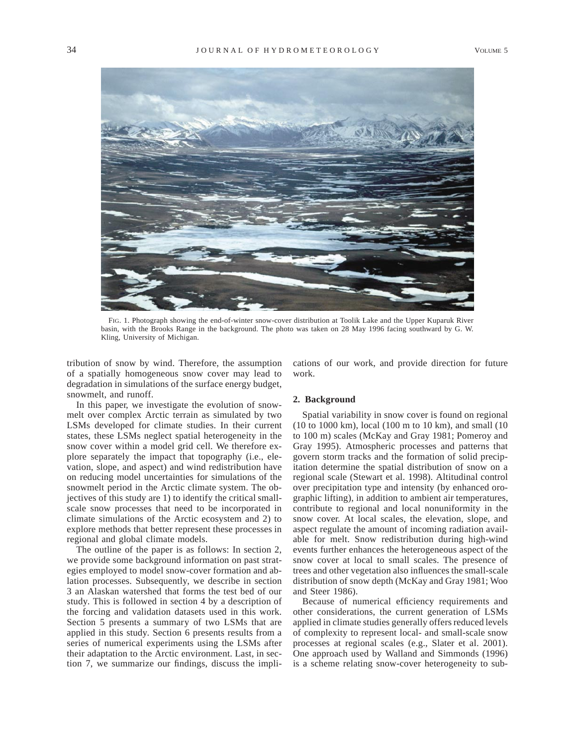

FIG. 1. Photograph showing the end-of-winter snow-cover distribution at Toolik Lake and the Upper Kuparuk River basin, with the Brooks Range in the background. The photo was taken on 28 May 1996 facing southward by G. W. Kling, University of Michigan.

tribution of snow by wind. Therefore, the assumption of a spatially homogeneous snow cover may lead to degradation in simulations of the surface energy budget, snowmelt, and runoff.

In this paper, we investigate the evolution of snowmelt over complex Arctic terrain as simulated by two LSMs developed for climate studies. In their current states, these LSMs neglect spatial heterogeneity in the snow cover within a model grid cell. We therefore explore separately the impact that topography (i.e., elevation, slope, and aspect) and wind redistribution have on reducing model uncertainties for simulations of the snowmelt period in the Arctic climate system. The objectives of this study are 1) to identify the critical smallscale snow processes that need to be incorporated in climate simulations of the Arctic ecosystem and 2) to explore methods that better represent these processes in regional and global climate models.

The outline of the paper is as follows: In section 2, we provide some background information on past strategies employed to model snow-cover formation and ablation processes. Subsequently, we describe in section 3 an Alaskan watershed that forms the test bed of our study. This is followed in section 4 by a description of the forcing and validation datasets used in this work. Section 5 presents a summary of two LSMs that are applied in this study. Section 6 presents results from a series of numerical experiments using the LSMs after their adaptation to the Arctic environment. Last, in section 7, we summarize our findings, discuss the implications of our work, and provide direction for future work.

#### **2. Background**

Spatial variability in snow cover is found on regional (10 to 1000 km), local (100 m to 10 km), and small (10 to 100 m) scales (McKay and Gray 1981; Pomeroy and Gray 1995). Atmospheric processes and patterns that govern storm tracks and the formation of solid precipitation determine the spatial distribution of snow on a regional scale (Stewart et al. 1998). Altitudinal control over precipitation type and intensity (by enhanced orographic lifting), in addition to ambient air temperatures, contribute to regional and local nonuniformity in the snow cover. At local scales, the elevation, slope, and aspect regulate the amount of incoming radiation available for melt. Snow redistribution during high-wind events further enhances the heterogeneous aspect of the snow cover at local to small scales. The presence of trees and other vegetation also influences the small-scale distribution of snow depth (McKay and Gray 1981; Woo and Steer 1986).

Because of numerical efficiency requirements and other considerations, the current generation of LSMs applied in climate studies generally offers reduced levels of complexity to represent local- and small-scale snow processes at regional scales (e.g., Slater et al. 2001). One approach used by Walland and Simmonds (1996) is a scheme relating snow-cover heterogeneity to sub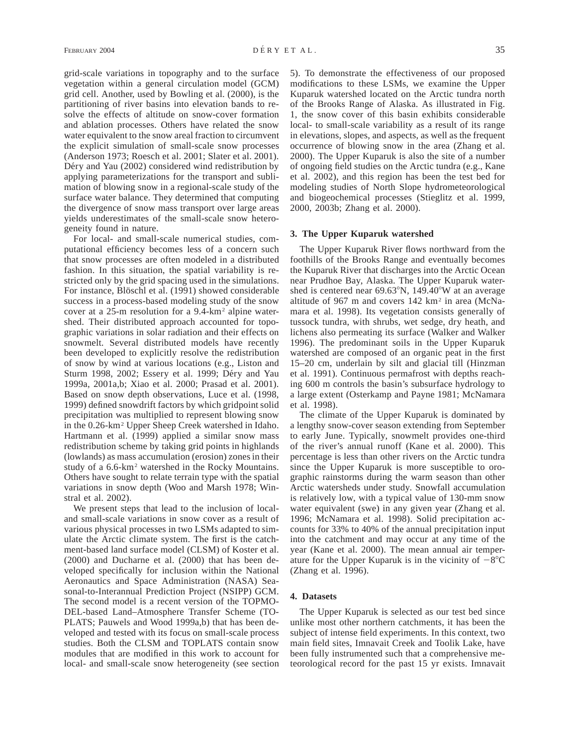grid-scale variations in topography and to the surface vegetation within a general circulation model (GCM) grid cell. Another, used by Bowling et al. (2000), is the partitioning of river basins into elevation bands to resolve the effects of altitude on snow-cover formation and ablation processes. Others have related the snow water equivalent to the snow areal fraction to circumvent the explicit simulation of small-scale snow processes (Anderson 1973; Roesch et al. 2001; Slater et al. 2001). Déry and Yau (2002) considered wind redistribution by applying parameterizations for the transport and sublimation of blowing snow in a regional-scale study of the surface water balance. They determined that computing the divergence of snow mass transport over large areas yields underestimates of the small-scale snow heterogeneity found in nature.

For local- and small-scale numerical studies, computational efficiency becomes less of a concern such that snow processes are often modeled in a distributed fashion. In this situation, the spatial variability is restricted only by the grid spacing used in the simulations. For instance, Blöschl et al. (1991) showed considerable success in a process-based modeling study of the snow cover at a 25-m resolution for a 9.4-km2 alpine watershed. Their distributed approach accounted for topographic variations in solar radiation and their effects on snowmelt. Several distributed models have recently been developed to explicitly resolve the redistribution of snow by wind at various locations (e.g., Liston and Sturm 1998, 2002; Essery et al. 1999; Déry and Yau 1999a, 2001a,b; Xiao et al. 2000; Prasad et al. 2001). Based on snow depth observations, Luce et al. (1998, 1999) defined snowdrift factors by which gridpoint solid precipitation was multiplied to represent blowing snow in the 0.26-km2 Upper Sheep Creek watershed in Idaho. Hartmann et al. (1999) applied a similar snow mass redistribution scheme by taking grid points in highlands (lowlands) as mass accumulation (erosion) zones in their study of a 6.6-km2 watershed in the Rocky Mountains. Others have sought to relate terrain type with the spatial variations in snow depth (Woo and Marsh 1978; Winstral et al. 2002).

We present steps that lead to the inclusion of localand small-scale variations in snow cover as a result of various physical processes in two LSMs adapted to simulate the Arctic climate system. The first is the catchment-based land surface model (CLSM) of Koster et al. (2000) and Ducharne et al. (2000) that has been developed specifically for inclusion within the National Aeronautics and Space Administration (NASA) Seasonal-to-Interannual Prediction Project (NSIPP) GCM. The second model is a recent version of the TOPMO-DEL-based Land–Atmosphere Transfer Scheme (TO-PLATS; Pauwels and Wood 1999a,b) that has been developed and tested with its focus on small-scale process studies. Both the CLSM and TOPLATS contain snow modules that are modified in this work to account for local- and small-scale snow heterogeneity (see section

5). To demonstrate the effectiveness of our proposed modifications to these LSMs, we examine the Upper Kuparuk watershed located on the Arctic tundra north of the Brooks Range of Alaska. As illustrated in Fig. 1, the snow cover of this basin exhibits considerable local- to small-scale variability as a result of its range in elevations, slopes, and aspects, as well as the frequent occurrence of blowing snow in the area (Zhang et al. 2000). The Upper Kuparuk is also the site of a number of ongoing field studies on the Arctic tundra (e.g., Kane et al. 2002), and this region has been the test bed for modeling studies of North Slope hydrometeorological and biogeochemical processes (Stieglitz et al. 1999, 2000, 2003b; Zhang et al. 2000).

#### **3. The Upper Kuparuk watershed**

The Upper Kuparuk River flows northward from the foothills of the Brooks Range and eventually becomes the Kuparuk River that discharges into the Arctic Ocean near Prudhoe Bay, Alaska. The Upper Kuparuk watershed is centered near  $69.63^{\circ}$ N, 149.40°W at an average altitude of 967 m and covers 142 km<sup>2</sup> in area (McNamara et al. 1998). Its vegetation consists generally of tussock tundra, with shrubs, wet sedge, dry heath, and lichens also permeating its surface (Walker and Walker 1996). The predominant soils in the Upper Kuparuk watershed are composed of an organic peat in the first 15–20 cm, underlain by silt and glacial till (Hinzman et al. 1991). Continuous permafrost with depths reaching 600 m controls the basin's subsurface hydrology to a large extent (Osterkamp and Payne 1981; McNamara et al. 1998).

The climate of the Upper Kuparuk is dominated by a lengthy snow-cover season extending from September to early June. Typically, snowmelt provides one-third of the river's annual runoff (Kane et al. 2000). This percentage is less than other rivers on the Arctic tundra since the Upper Kuparuk is more susceptible to orographic rainstorms during the warm season than other Arctic watersheds under study. Snowfall accumulation is relatively low, with a typical value of 130-mm snow water equivalent (swe) in any given year (Zhang et al. 1996; McNamara et al. 1998). Solid precipitation accounts for 33% to 40% of the annual precipitation input into the catchment and may occur at any time of the year (Kane et al. 2000). The mean annual air temperature for the Upper Kuparuk is in the vicinity of  $-8^{\circ}$ C (Zhang et al. 1996).

#### **4. Datasets**

The Upper Kuparuk is selected as our test bed since unlike most other northern catchments, it has been the subject of intense field experiments. In this context, two main field sites, Imnavait Creek and Toolik Lake, have been fully instrumented such that a comprehensive meteorological record for the past 15 yr exists. Imnavait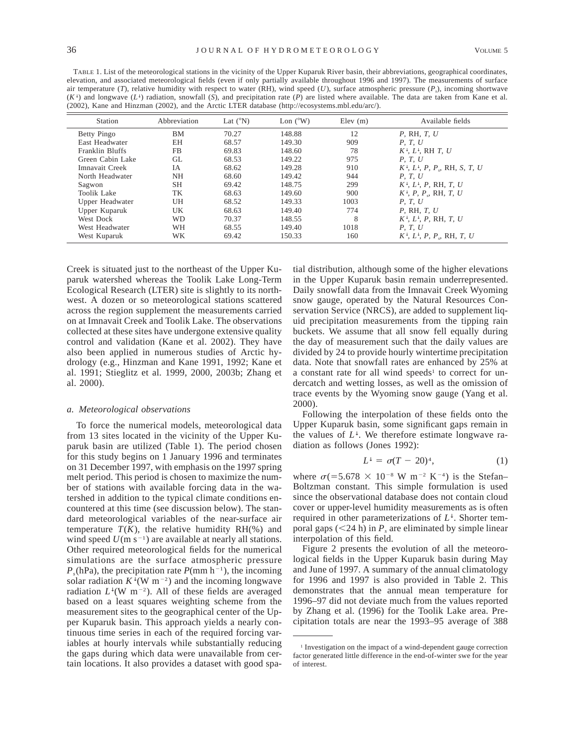TABLE 1. List of the meteorological stations in the vicinity of the Upper Kuparuk River basin, their abbreviations, geographical coordinates, elevation, and associated meteorological fields (even if only partially available throughout 1996 and 1997). The measurements of surface air temperature (*T*), relative humidity with respect to water (RH), wind speed (*U*), surface atmospheric pressure (*Ps*), incoming shortwave  $(K^{\downarrow})$  and longwave  $(L^{\downarrow})$  radiation, snowfall (*S*), and precipitation rate (*P*) are listed where available. The data are taken from Kane et al. (2002), Kane and Hinzman (2002), and the Arctic LTER database (http://ecosystems.mbl.edu/arc/).

| Station            | Abbreviation | Lat $(^{\circ}N)$ | Lon $(^{\circ}W)$ | Elev(m) | Available fields                                        |
|--------------------|--------------|-------------------|-------------------|---------|---------------------------------------------------------|
| Betty Pingo        | <b>BM</b>    | 70.27             | 148.88            | 12      | $P$ , RH, T, $U$                                        |
| East Headwater     | EH           | 68.57             | 149.30            | 909     | P, T, U                                                 |
| Franklin Bluffs    | <b>FB</b>    | 69.83             | 148.60            | 78      | $K^{\downarrow}$ , $L^{\downarrow}$ , RH T, U           |
| Green Cabin Lake   | GL           | 68.53             | 149.22            | 975     | P. T. U                                                 |
| Imnavait Creek     | <b>IA</b>    | 68.62             | 149.28            | 910     | $K^{\downarrow}, L^{\downarrow}, P, P, R$ , RH, S, T, U |
| North Headwater    | NH           | 68.60             | 149.42            | 944     | P. T. U                                                 |
| Sagwon             | <b>SH</b>    | 69.42             | 148.75            | 299     | $K^{\downarrow}, L^{\downarrow}, P$ , RH, T, U          |
| <b>Toolik Lake</b> | TK           | 68.63             | 149.60            | 900     | $K^{\downarrow}$ , P, P, RH, T, U                       |
| Upper Headwater    | UH           | 68.52             | 149.33            | 1003    | P, T, U                                                 |
| Upper Kuparuk      | UK           | 68.63             | 149.40            | 774     | $P$ , RH, T, $U$                                        |
| West Dock          | WD           | 70.37             | 148.55            | 8       | $K^{\downarrow}$ , $L^{\downarrow}$ , P, RH, T, U       |
| West Headwater     | WН           | 68.55             | 149.40            | 1018    | P. T. U                                                 |
| West Kuparuk       | WΚ           | 69.42             | 150.33            | 160     | $K^{\downarrow}, L^{\downarrow}, P, P, R$ H, T, U       |

Creek is situated just to the northeast of the Upper Kuparuk watershed whereas the Toolik Lake Long-Term Ecological Research (LTER) site is slightly to its northwest. A dozen or so meteorological stations scattered across the region supplement the measurements carried on at Imnavait Creek and Toolik Lake. The observations collected at these sites have undergone extensive quality control and validation (Kane et al. 2002). They have also been applied in numerous studies of Arctic hydrology (e.g., Hinzman and Kane 1991, 1992; Kane et al. 1991; Stieglitz et al. 1999, 2000, 2003b; Zhang et al. 2000).

#### *a. Meteorological observations*

To force the numerical models, meteorological data from 13 sites located in the vicinity of the Upper Kuparuk basin are utilized (Table 1). The period chosen for this study begins on 1 January 1996 and terminates on 31 December 1997, with emphasis on the 1997 spring melt period. This period is chosen to maximize the number of stations with available forcing data in the watershed in addition to the typical climate conditions encountered at this time (see discussion below). The standard meteorological variables of the near-surface air temperature  $T(K)$ , the relative humidity RH(%) and wind speed  $U(m s^{-1})$  are available at nearly all stations. Other required meteorological fields for the numerical simulations are the surface atmospheric pressure  $P_s(hPa)$ , the precipitation rate  $P(mm h^{-1})$ , the incoming solar radiation  $K^{\downarrow}(W \, m^{-2})$  and the incoming longwave radiation  $L^{\downarrow}$ (W m<sup>-2</sup>). All of these fields are averaged based on a least squares weighting scheme from the measurement sites to the geographical center of the Upper Kuparuk basin. This approach yields a nearly continuous time series in each of the required forcing variables at hourly intervals while substantially reducing the gaps during which data were unavailable from certain locations. It also provides a dataset with good spa-

tial distribution, although some of the higher elevations in the Upper Kuparuk basin remain underrepresented. Daily snowfall data from the Imnavait Creek Wyoming snow gauge, operated by the Natural Resources Conservation Service (NRCS), are added to supplement liquid precipitation measurements from the tipping rain buckets. We assume that all snow fell equally during the day of measurement such that the daily values are divided by 24 to provide hourly wintertime precipitation data. Note that snowfall rates are enhanced by 25% at a constant rate for all wind speeds<sup>1</sup> to correct for undercatch and wetting losses, as well as the omission of trace events by the Wyoming snow gauge (Yang et al. 2000).

Following the interpolation of these fields onto the Upper Kuparuk basin, some significant gaps remain in the values of  $L^{\downarrow}$ . We therefore estimate longwave radiation as follows (Jones 1992):

$$
L^{\downarrow} = \sigma(T - 20)^4,\tag{1}
$$

where  $\sigma$ (=5.678 × 10<sup>-8</sup> W m<sup>-2</sup> K<sup>-4</sup>) is the Stefan– Boltzman constant. This simple formulation is used since the observational database does not contain cloud cover or upper-level humidity measurements as is often required in other parameterizations of *L*↓. Shorter temporal gaps  $(< 24$  h) in  $P_s$  are eliminated by simple linear interpolation of this field.

Figure 2 presents the evolution of all the meteorological fields in the Upper Kuparuk basin during May and June of 1997. A summary of the annual climatology for 1996 and 1997 is also provided in Table 2. This demonstrates that the annual mean temperature for 1996–97 did not deviate much from the values reported by Zhang et al. (1996) for the Toolik Lake area. Precipitation totals are near the 1993–95 average of 388

<sup>&</sup>lt;sup>1</sup> Investigation on the impact of a wind-dependent gauge correction factor generated little difference in the end-of-winter swe for the year of interest.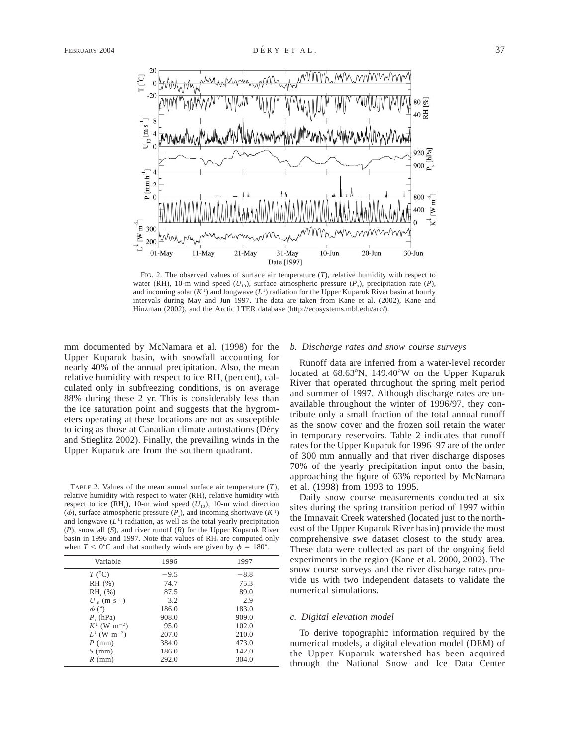

FIG. 2. The observed values of surface air temperature (*T*), relative humidity with respect to water (RH), 10-m wind speed ( $U_{10}$ ), surface atmospheric pressure ( $P_s$ ), precipitation rate ( $P_s$ ), and incoming solar  $(K^{\downarrow})$  and longwave  $(L^{\downarrow})$  radiation for the Upper Kuparuk River basin at hourly intervals during May and Jun 1997. The data are taken from Kane et al. (2002), Kane and Hinzman (2002), and the Arctic LTER database (http://ecosystems.mbl.edu/arc/).

mm documented by McNamara et al. (1998) for the Upper Kuparuk basin, with snowfall accounting for nearly 40% of the annual precipitation. Also, the mean relative humidity with respect to ice RH*<sup>i</sup>* (percent), calculated only in subfreezing conditions, is on average 88% during these 2 yr. This is considerably less than the ice saturation point and suggests that the hygrometers operating at these locations are not as susceptible to icing as those at Canadian climate autostations (Déry and Stieglitz 2002). Finally, the prevailing winds in the Upper Kuparuk are from the southern quadrant.

TABLE 2. Values of the mean annual surface air temperature (*T*), relative humidity with respect to water (RH), relative humidity with respect to ice  $(RH_i)$ , 10-m wind speed  $(U_{10})$ , 10-m wind direction ( $\phi$ ), surface atmospheric pressure ( $\overline{P}_s$ ), and incoming shortwave ( $K^{\downarrow}$ ) and longwave  $(L^{\downarrow})$  radiation, as well as the total yearly precipitation (*P*), snowfall (*S*), and river runoff (*R*) for the Upper Kuparuk River basin in 1996 and 1997. Note that values of RH*<sup>i</sup>* are computed only when  $T < 0^{\circ}$ C and that southerly winds are given by  $\phi = 180^{\circ}$ .

| Variable                              | 1996   | 1997   |
|---------------------------------------|--------|--------|
| $T$ ( $^{\circ}$ C)                   | $-9.5$ | $-8.8$ |
| RH (%)                                | 74.7   | 75.3   |
| $RHi(\%)$                             | 87.5   | 89.0   |
| $U_{10}$ (m s <sup>-1</sup> )         | 3.2    | 2.9    |
| $\phi$ ( $\degree$ )                  | 186.0  | 183.0  |
| $P_{\rm c}$ (hPa)                     | 908.0  | 909.0  |
| $K^{\downarrow}$ (W m <sup>-2</sup> ) | 95.0   | 102.0  |
| $L^{\downarrow}$ (W m <sup>-2</sup> ) | 207.0  | 210.0  |
| $P$ (mm)                              | 384.0  | 473.0  |
| $S$ (mm)                              | 186.0  | 142.0  |
| $R$ (mm)                              | 292.0  | 304.0  |
|                                       |        |        |

#### *b. Discharge rates and snow course surveys*

Runoff data are inferred from a water-level recorder located at  $68.63^{\circ}$ N, 149.40°W on the Upper Kuparuk River that operated throughout the spring melt period and summer of 1997. Although discharge rates are unavailable throughout the winter of 1996/97, they contribute only a small fraction of the total annual runoff as the snow cover and the frozen soil retain the water in temporary reservoirs. Table 2 indicates that runoff rates for the Upper Kuparuk for 1996–97 are of the order of 300 mm annually and that river discharge disposes 70% of the yearly precipitation input onto the basin, approaching the figure of 63% reported by McNamara et al. (1998) from 1993 to 1995.

Daily snow course measurements conducted at six sites during the spring transition period of 1997 within the Imnavait Creek watershed (located just to the northeast of the Upper Kuparuk River basin) provide the most comprehensive swe dataset closest to the study area. These data were collected as part of the ongoing field experiments in the region (Kane et al. 2000, 2002). The snow course surveys and the river discharge rates provide us with two independent datasets to validate the numerical simulations.

## *c. Digital elevation model*

To derive topographic information required by the numerical models, a digital elevation model (DEM) of the Upper Kuparuk watershed has been acquired through the National Snow and Ice Data Center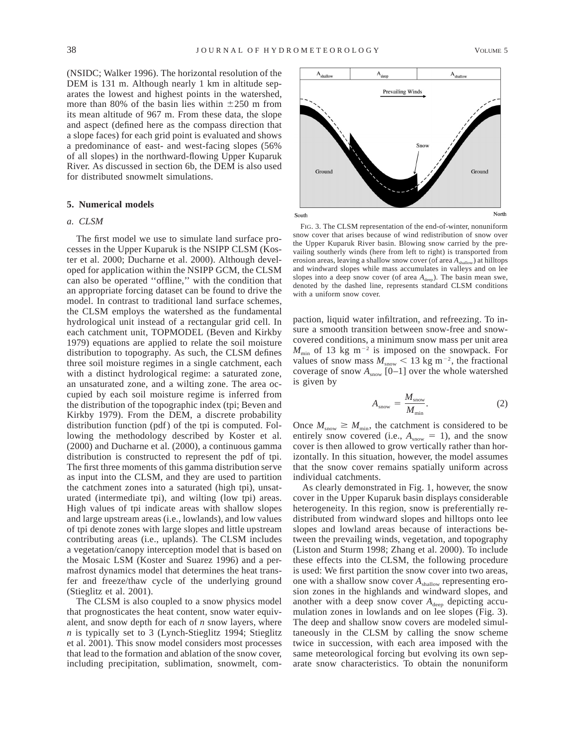(NSIDC; Walker 1996). The horizontal resolution of the DEM is 131 m. Although nearly 1 km in altitude separates the lowest and highest points in the watershed, more than 80% of the basin lies within  $\pm 250$  m from its mean altitude of 967 m. From these data, the slope and aspect (defined here as the compass direction that a slope faces) for each grid point is evaluated and shows a predominance of east- and west-facing slopes (56% of all slopes) in the northward-flowing Upper Kuparuk River. As discussed in section 6b, the DEM is also used for distributed snowmelt simulations.

# **5. Numerical models**

## *a. CLSM*

The first model we use to simulate land surface processes in the Upper Kuparuk is the NSIPP CLSM (Koster et al. 2000; Ducharne et al. 2000). Although developed for application within the NSIPP GCM, the CLSM can also be operated ''offline,'' with the condition that an appropriate forcing dataset can be found to drive the model. In contrast to traditional land surface schemes, the CLSM employs the watershed as the fundamental hydrological unit instead of a rectangular grid cell. In each catchment unit, TOPMODEL (Beven and Kirkby 1979) equations are applied to relate the soil moisture distribution to topography. As such, the CLSM defines three soil moisture regimes in a single catchment, each with a distinct hydrological regime: a saturated zone, an unsaturated zone, and a wilting zone. The area occupied by each soil moisture regime is inferred from the distribution of the topographic index (tpi; Beven and Kirkby 1979). From the DEM, a discrete probability distribution function (pdf) of the tpi is computed. Following the methodology described by Koster et al. (2000) and Ducharne et al. (2000), a continuous gamma distribution is constructed to represent the pdf of tpi. The first three moments of this gamma distribution serve as input into the CLSM, and they are used to partition the catchment zones into a saturated (high tpi), unsaturated (intermediate tpi), and wilting (low tpi) areas. High values of tpi indicate areas with shallow slopes and large upstream areas (i.e., lowlands), and low values of tpi denote zones with large slopes and little upstream contributing areas (i.e., uplands). The CLSM includes a vegetation/canopy interception model that is based on the Mosaic LSM (Koster and Suarez 1996) and a permafrost dynamics model that determines the heat transfer and freeze/thaw cycle of the underlying ground (Stieglitz et al. 2001).

The CLSM is also coupled to a snow physics model that prognosticates the heat content, snow water equivalent, and snow depth for each of *n* snow layers, where *n* is typically set to 3 (Lynch-Stieglitz 1994; Stieglitz et al. 2001). This snow model considers most processes that lead to the formation and ablation of the snow cover, including precipitation, sublimation, snowmelt, com-



FIG. 3. The CLSM representation of the end-of-winter, nonuniform snow cover that arises because of wind redistribution of snow over the Upper Kuparuk River basin. Blowing snow carried by the prevailing southerly winds (here from left to right) is transported from erosion areas, leaving a shallow snow cover (of area  $A_{\text{shallow}}$ ) at hilltops and windward slopes while mass accumulates in valleys and on lee slopes into a deep snow cover (of area  $A_{\text{deep}}$ ). The basin mean swe, denoted by the dashed line, represents standard CLSM conditions with a uniform snow cover.

paction, liquid water infiltration, and refreezing. To insure a smooth transition between snow-free and snowcovered conditions, a minimum snow mass per unit area  $M_{\text{min}}$  of 13 kg m<sup>-2</sup> is imposed on the snowpack. For values of snow mass  $M_{\text{snow}} < 13 \text{ kg m}^{-2}$ , the fractional coverage of snow  $A_{\text{snow}}$  [0–1] over the whole watershed is given by

$$
A_{\text{snow}} = \frac{M_{\text{snow}}}{M_{\text{min}}}.
$$
 (2)

Once  $M_{\text{snow}} \geq M_{\text{min}}$ , the catchment is considered to be entirely snow covered (i.e.,  $A_{\text{snow}} = 1$ ), and the snow cover is then allowed to grow vertically rather than horizontally. In this situation, however, the model assumes that the snow cover remains spatially uniform across individual catchments.

As clearly demonstrated in Fig. 1, however, the snow cover in the Upper Kuparuk basin displays considerable heterogeneity. In this region, snow is preferentially redistributed from windward slopes and hilltops onto lee slopes and lowland areas because of interactions between the prevailing winds, vegetation, and topography (Liston and Sturm 1998; Zhang et al. 2000). To include these effects into the CLSM, the following procedure is used: We first partition the snow cover into two areas, one with a shallow snow cover  $A_{\text{shallow}}$  representing erosion zones in the highlands and windward slopes, and another with a deep snow cover  $A_{\text{deep}}$  depicting accumulation zones in lowlands and on lee slopes (Fig. 3). The deep and shallow snow covers are modeled simultaneously in the CLSM by calling the snow scheme twice in succession, with each area imposed with the same meteorological forcing but evolving its own separate snow characteristics. To obtain the nonuniform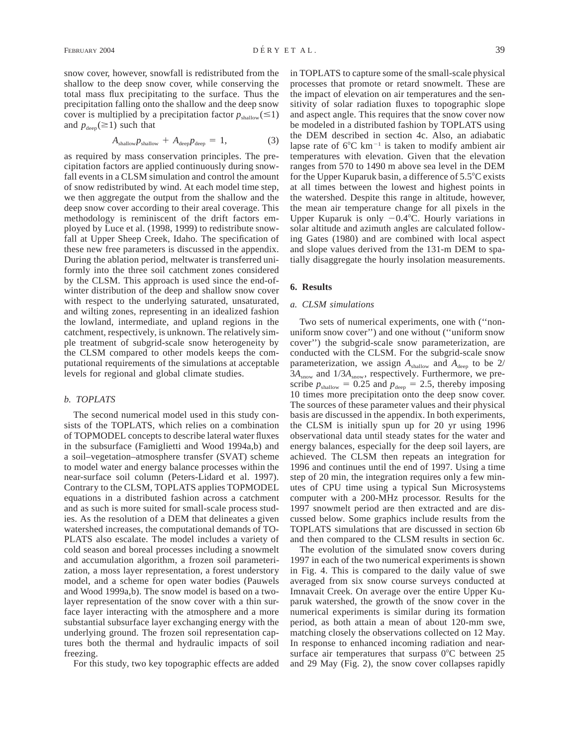snow cover, however, snowfall is redistributed from the shallow to the deep snow cover, while conserving the total mass flux precipitating to the surface. Thus the precipitation falling onto the shallow and the deep snow cover is multiplied by a precipitation factor  $p_{\text{shallow}}(\leq 1)$ and  $p_{\text{deep}}(\geq 1)$  such that

$$
A_{\text{shallow}} p_{\text{shallow}} + A_{\text{deep}} p_{\text{deep}} = 1, \tag{3}
$$

as required by mass conservation principles. The precipitation factors are applied continuously during snowfall events in a CLSM simulation and control the amount of snow redistributed by wind. At each model time step, we then aggregate the output from the shallow and the deep snow cover according to their areal coverage. This methodology is reminiscent of the drift factors employed by Luce et al. (1998, 1999) to redistribute snowfall at Upper Sheep Creek, Idaho. The specification of these new free parameters is discussed in the appendix. During the ablation period, meltwater is transferred uniformly into the three soil catchment zones considered by the CLSM. This approach is used since the end-ofwinter distribution of the deep and shallow snow cover with respect to the underlying saturated, unsaturated, and wilting zones, representing in an idealized fashion the lowland, intermediate, and upland regions in the catchment, respectively, is unknown. The relatively simple treatment of subgrid-scale snow heterogeneity by the CLSM compared to other models keeps the computational requirements of the simulations at acceptable levels for regional and global climate studies.

#### *b. TOPLATS*

The second numerical model used in this study consists of the TOPLATS, which relies on a combination of TOPMODEL concepts to describe lateral water fluxes in the subsurface (Famiglietti and Wood 1994a,b) and a soil–vegetation–atmosphere transfer (SVAT) scheme to model water and energy balance processes within the near-surface soil column (Peters-Lidard et al. 1997). Contrary to the CLSM, TOPLATS applies TOPMODEL equations in a distributed fashion across a catchment and as such is more suited for small-scale process studies. As the resolution of a DEM that delineates a given watershed increases, the computational demands of TO-PLATS also escalate. The model includes a variety of cold season and boreal processes including a snowmelt and accumulation algorithm, a frozen soil parameterization, a moss layer representation, a forest understory model, and a scheme for open water bodies (Pauwels and Wood 1999a,b). The snow model is based on a twolayer representation of the snow cover with a thin surface layer interacting with the atmosphere and a more substantial subsurface layer exchanging energy with the underlying ground. The frozen soil representation captures both the thermal and hydraulic impacts of soil freezing.

For this study, two key topographic effects are added

in TOPLATS to capture some of the small-scale physical processes that promote or retard snowmelt. These are the impact of elevation on air temperatures and the sensitivity of solar radiation fluxes to topographic slope and aspect angle. This requires that the snow cover now be modeled in a distributed fashion by TOPLATS using the DEM described in section 4c. Also, an adiabatic lapse rate of  $6^{\circ}$ C km<sup>-1</sup> is taken to modify ambient air temperatures with elevation. Given that the elevation ranges from 570 to 1490 m above sea level in the DEM for the Upper Kuparuk basin, a difference of  $5.5^{\circ}$ C exists at all times between the lowest and highest points in the watershed. Despite this range in altitude, however, the mean air temperature change for all pixels in the Upper Kuparuk is only  $-0.4^{\circ}$ C. Hourly variations in solar altitude and azimuth angles are calculated following Gates (1980) and are combined with local aspect and slope values derived from the 131-m DEM to spatially disaggregate the hourly insolation measurements.

# **6. Results**

# *a. CLSM simulations*

Two sets of numerical experiments, one with (''nonuniform snow cover'') and one without (''uniform snow cover'') the subgrid-scale snow parameterization, are conducted with the CLSM. For the subgrid-scale snow parameterization, we assign  $A_{\text{shallow}}$  and  $A_{\text{deep}}$  to be 2/  $3A_{\text{snow}}$  and  $1/3A_{\text{snow}}$ , respectively. Furthermore, we prescribe  $p_{\text{shallow}} = 0.25$  and  $p_{\text{deep}} = 2.5$ , thereby imposing 10 times more precipitation onto the deep snow cover. The sources of these parameter values and their physical basis are discussed in the appendix. In both experiments, the CLSM is initially spun up for 20 yr using 1996 observational data until steady states for the water and energy balances, especially for the deep soil layers, are achieved. The CLSM then repeats an integration for 1996 and continues until the end of 1997. Using a time step of 20 min, the integration requires only a few minutes of CPU time using a typical Sun Microsystems computer with a 200-MHz processor. Results for the 1997 snowmelt period are then extracted and are discussed below. Some graphics include results from the TOPLATS simulations that are discussed in section 6b and then compared to the CLSM results in section 6c.

The evolution of the simulated snow covers during 1997 in each of the two numerical experiments is shown in Fig. 4. This is compared to the daily value of swe averaged from six snow course surveys conducted at Imnavait Creek. On average over the entire Upper Kuparuk watershed, the growth of the snow cover in the numerical experiments is similar during its formation period, as both attain a mean of about 120-mm swe, matching closely the observations collected on 12 May. In response to enhanced incoming radiation and nearsurface air temperatures that surpass  $0^{\circ}$ C between 25 and 29 May (Fig. 2), the snow cover collapses rapidly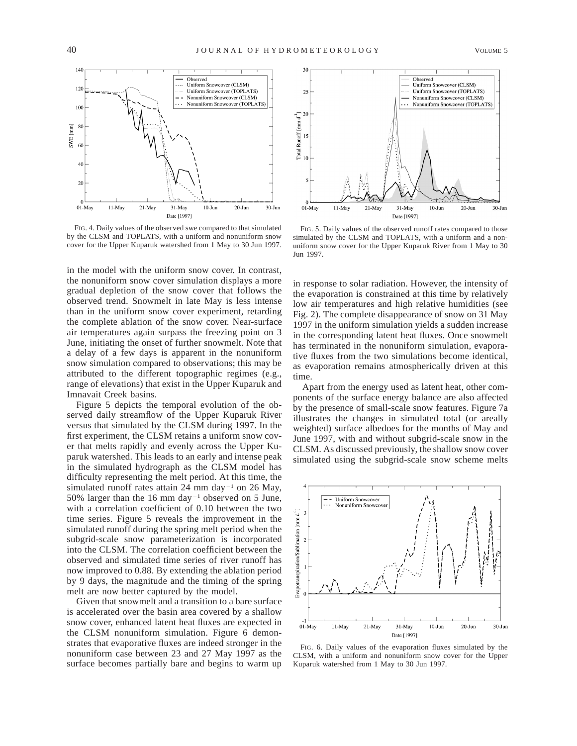

FIG. 4. Daily values of the observed swe compared to that simulated by the CLSM and TOPLATS, with a uniform and nonuniform snow cover for the Upper Kuparuk watershed from 1 May to 30 Jun 1997.

in the model with the uniform snow cover. In contrast, the nonuniform snow cover simulation displays a more gradual depletion of the snow cover that follows the observed trend. Snowmelt in late May is less intense than in the uniform snow cover experiment, retarding the complete ablation of the snow cover. Near-surface air temperatures again surpass the freezing point on 3 June, initiating the onset of further snowmelt. Note that a delay of a few days is apparent in the nonuniform snow simulation compared to observations; this may be attributed to the different topographic regimes (e.g., range of elevations) that exist in the Upper Kuparuk and Imnavait Creek basins.

Figure 5 depicts the temporal evolution of the observed daily streamflow of the Upper Kuparuk River versus that simulated by the CLSM during 1997. In the first experiment, the CLSM retains a uniform snow cover that melts rapidly and evenly across the Upper Kuparuk watershed. This leads to an early and intense peak in the simulated hydrograph as the CLSM model has difficulty representing the melt period. At this time, the simulated runoff rates attain 24 mm day<sup>-1</sup> on 26 May, 50% larger than the 16 mm day<sup> $-1$ </sup> observed on 5 June, with a correlation coefficient of 0.10 between the two time series. Figure 5 reveals the improvement in the simulated runoff during the spring melt period when the subgrid-scale snow parameterization is incorporated into the CLSM. The correlation coefficient between the observed and simulated time series of river runoff has now improved to 0.88. By extending the ablation period by 9 days, the magnitude and the timing of the spring melt are now better captured by the model.

Given that snowmelt and a transition to a bare surface is accelerated over the basin area covered by a shallow snow cover, enhanced latent heat fluxes are expected in the CLSM nonuniform simulation. Figure 6 demonstrates that evaporative fluxes are indeed stronger in the nonuniform case between 23 and 27 May 1997 as the surface becomes partially bare and begins to warm up



FIG. 5. Daily values of the observed runoff rates compared to those simulated by the CLSM and TOPLATS, with a uniform and a nonuniform snow cover for the Upper Kuparuk River from 1 May to 30 Jun 1997.

in response to solar radiation. However, the intensity of the evaporation is constrained at this time by relatively low air temperatures and high relative humidities (see Fig. 2). The complete disappearance of snow on 31 May 1997 in the uniform simulation yields a sudden increase in the corresponding latent heat fluxes. Once snowmelt has terminated in the nonuniform simulation, evaporative fluxes from the two simulations become identical, as evaporation remains atmospherically driven at this time.

Apart from the energy used as latent heat, other components of the surface energy balance are also affected by the presence of small-scale snow features. Figure 7a illustrates the changes in simulated total (or areally weighted) surface albedoes for the months of May and June 1997, with and without subgrid-scale snow in the CLSM. As discussed previously, the shallow snow cover simulated using the subgrid-scale snow scheme melts



FIG. 6. Daily values of the evaporation fluxes simulated by the CLSM, with a uniform and nonuniform snow cover for the Upper Kuparuk watershed from 1 May to 30 Jun 1997.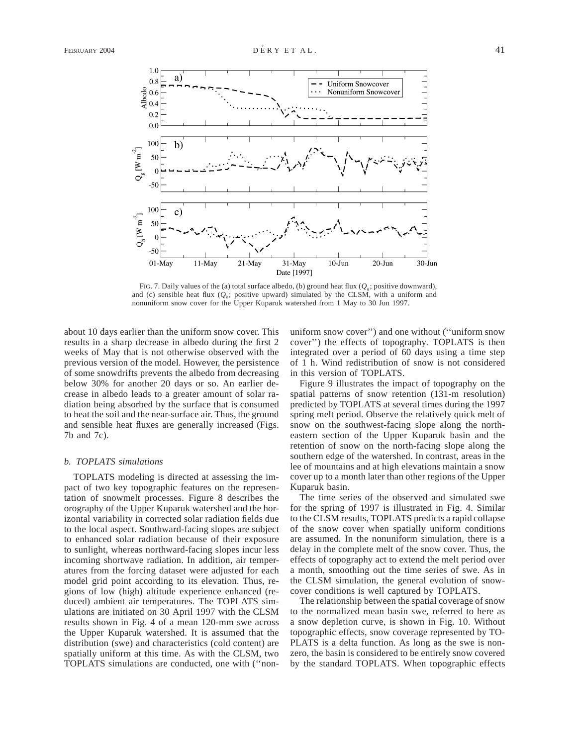

FIG. 7. Daily values of the (a) total surface albedo, (b) ground heat flux ( $Q<sub>g</sub>$ ; positive downward), and (c) sensible heat flux  $(Q_h;$  positive upward) simulated by the CLSM, with a uniform and nonuniform snow cover for the Upper Kuparuk watershed from 1 May to 30 Jun 1997.

about 10 days earlier than the uniform snow cover. This results in a sharp decrease in albedo during the first 2 weeks of May that is not otherwise observed with the previous version of the model. However, the persistence of some snowdrifts prevents the albedo from decreasing below 30% for another 20 days or so. An earlier decrease in albedo leads to a greater amount of solar radiation being absorbed by the surface that is consumed to heat the soil and the near-surface air. Thus, the ground and sensible heat fluxes are generally increased (Figs. 7b and 7c).

#### *b. TOPLATS simulations*

TOPLATS modeling is directed at assessing the impact of two key topographic features on the representation of snowmelt processes. Figure 8 describes the orography of the Upper Kuparuk watershed and the horizontal variability in corrected solar radiation fields due to the local aspect. Southward-facing slopes are subject to enhanced solar radiation because of their exposure to sunlight, whereas northward-facing slopes incur less incoming shortwave radiation. In addition, air temperatures from the forcing dataset were adjusted for each model grid point according to its elevation. Thus, regions of low (high) altitude experience enhanced (reduced) ambient air temperatures. The TOPLATS simulations are initiated on 30 April 1997 with the CLSM results shown in Fig. 4 of a mean 120-mm swe across the Upper Kuparuk watershed. It is assumed that the distribution (swe) and characteristics (cold content) are spatially uniform at this time. As with the CLSM, two TOPLATS simulations are conducted, one with (''non-

uniform snow cover'') and one without (''uniform snow cover'') the effects of topography. TOPLATS is then integrated over a period of 60 days using a time step of 1 h. Wind redistribution of snow is not considered in this version of TOPLATS.

Figure 9 illustrates the impact of topography on the spatial patterns of snow retention (131-m resolution) predicted by TOPLATS at several times during the 1997 spring melt period. Observe the relatively quick melt of snow on the southwest-facing slope along the northeastern section of the Upper Kuparuk basin and the retention of snow on the north-facing slope along the southern edge of the watershed. In contrast, areas in the lee of mountains and at high elevations maintain a snow cover up to a month later than other regions of the Upper Kuparuk basin.

The time series of the observed and simulated swe for the spring of 1997 is illustrated in Fig. 4. Similar to the CLSM results, TOPLATS predicts a rapid collapse of the snow cover when spatially uniform conditions are assumed. In the nonuniform simulation, there is a delay in the complete melt of the snow cover. Thus, the effects of topography act to extend the melt period over a month, smoothing out the time series of swe. As in the CLSM simulation, the general evolution of snowcover conditions is well captured by TOPLATS.

The relationship between the spatial coverage of snow to the normalized mean basin swe, referred to here as a snow depletion curve, is shown in Fig. 10. Without topographic effects, snow coverage represented by TO-PLATS is a delta function. As long as the swe is nonzero, the basin is considered to be entirely snow covered by the standard TOPLATS. When topographic effects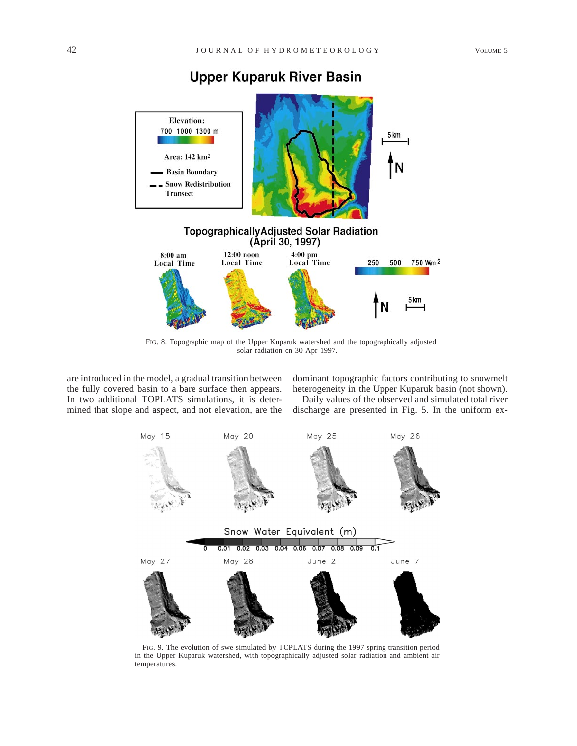# **Upper Kuparuk River Basin**



FIG. 8. Topographic map of the Upper Kuparuk watershed and the topographically adjusted solar radiation on 30 Apr 1997.

are introduced in the model, a gradual transition between the fully covered basin to a bare surface then appears. In two additional TOPLATS simulations, it is determined that slope and aspect, and not elevation, are the dominant topographic factors contributing to snowmelt heterogeneity in the Upper Kuparuk basin (not shown).

Daily values of the observed and simulated total river discharge are presented in Fig. 5. In the uniform ex-



FIG. 9. The evolution of swe simulated by TOPLATS during the 1997 spring transition period in the Upper Kuparuk watershed, with topographically adjusted solar radiation and ambient air temperatures.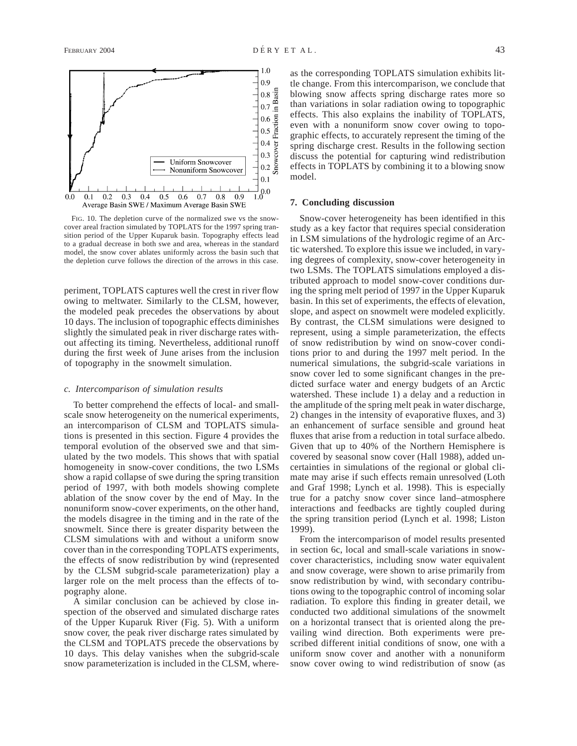

FIG. 10. The depletion curve of the normalized swe vs the snowcover areal fraction simulated by TOPLATS for the 1997 spring transition period of the Upper Kuparuk basin. Topography effects lead to a gradual decrease in both swe and area, whereas in the standard model, the snow cover ablates uniformly across the basin such that the depletion curve follows the direction of the arrows in this case.

periment, TOPLATS captures well the crest in river flow owing to meltwater. Similarly to the CLSM, however, the modeled peak precedes the observations by about 10 days. The inclusion of topographic effects diminishes slightly the simulated peak in river discharge rates without affecting its timing. Nevertheless, additional runoff during the first week of June arises from the inclusion of topography in the snowmelt simulation.

#### *c. Intercomparison of simulation results*

To better comprehend the effects of local- and smallscale snow heterogeneity on the numerical experiments, an intercomparison of CLSM and TOPLATS simulations is presented in this section. Figure 4 provides the temporal evolution of the observed swe and that simulated by the two models. This shows that with spatial homogeneity in snow-cover conditions, the two LSMs show a rapid collapse of swe during the spring transition period of 1997, with both models showing complete ablation of the snow cover by the end of May. In the nonuniform snow-cover experiments, on the other hand, the models disagree in the timing and in the rate of the snowmelt. Since there is greater disparity between the CLSM simulations with and without a uniform snow cover than in the corresponding TOPLATS experiments, the effects of snow redistribution by wind (represented by the CLSM subgrid-scale parameterization) play a larger role on the melt process than the effects of topography alone.

A similar conclusion can be achieved by close inspection of the observed and simulated discharge rates of the Upper Kuparuk River (Fig. 5). With a uniform snow cover, the peak river discharge rates simulated by the CLSM and TOPLATS precede the observations by 10 days. This delay vanishes when the subgrid-scale snow parameterization is included in the CLSM, whereas the corresponding TOPLATS simulation exhibits little change. From this intercomparison, we conclude that blowing snow affects spring discharge rates more so than variations in solar radiation owing to topographic effects. This also explains the inability of TOPLATS, even with a nonuniform snow cover owing to topographic effects, to accurately represent the timing of the spring discharge crest. Results in the following section discuss the potential for capturing wind redistribution effects in TOPLATS by combining it to a blowing snow model.

#### **7. Concluding discussion**

Snow-cover heterogeneity has been identified in this study as a key factor that requires special consideration in LSM simulations of the hydrologic regime of an Arctic watershed. To explore this issue we included, in varying degrees of complexity, snow-cover heterogeneity in two LSMs. The TOPLATS simulations employed a distributed approach to model snow-cover conditions during the spring melt period of 1997 in the Upper Kuparuk basin. In this set of experiments, the effects of elevation, slope, and aspect on snowmelt were modeled explicitly. By contrast, the CLSM simulations were designed to represent, using a simple parameterization, the effects of snow redistribution by wind on snow-cover conditions prior to and during the 1997 melt period. In the numerical simulations, the subgrid-scale variations in snow cover led to some significant changes in the predicted surface water and energy budgets of an Arctic watershed. These include 1) a delay and a reduction in the amplitude of the spring melt peak in water discharge, 2) changes in the intensity of evaporative fluxes, and 3) an enhancement of surface sensible and ground heat fluxes that arise from a reduction in total surface albedo. Given that up to 40% of the Northern Hemisphere is covered by seasonal snow cover (Hall 1988), added uncertainties in simulations of the regional or global climate may arise if such effects remain unresolved (Loth and Graf 1998; Lynch et al. 1998). This is especially true for a patchy snow cover since land–atmosphere interactions and feedbacks are tightly coupled during the spring transition period (Lynch et al. 1998; Liston 1999).

From the intercomparison of model results presented in section 6c, local and small-scale variations in snowcover characteristics, including snow water equivalent and snow coverage, were shown to arise primarily from snow redistribution by wind, with secondary contributions owing to the topographic control of incoming solar radiation. To explore this finding in greater detail, we conducted two additional simulations of the snowmelt on a horizontal transect that is oriented along the prevailing wind direction. Both experiments were prescribed different initial conditions of snow, one with a uniform snow cover and another with a nonuniform snow cover owing to wind redistribution of snow (as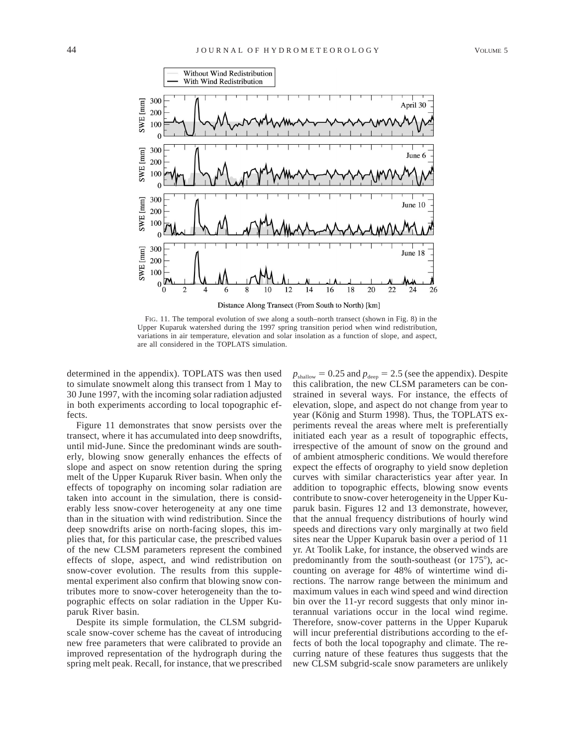

FIG. 11. The temporal evolution of swe along a south–north transect (shown in Fig. 8) in the Upper Kuparuk watershed during the 1997 spring transition period when wind redistribution, variations in air temperature, elevation and solar insolation as a function of slope, and aspect, are all considered in the TOPLATS simulation.

determined in the appendix). TOPLATS was then used to simulate snowmelt along this transect from 1 May to 30 June 1997, with the incoming solar radiation adjusted in both experiments according to local topographic effects.

Figure 11 demonstrates that snow persists over the transect, where it has accumulated into deep snowdrifts, until mid-June. Since the predominant winds are southerly, blowing snow generally enhances the effects of slope and aspect on snow retention during the spring melt of the Upper Kuparuk River basin. When only the effects of topography on incoming solar radiation are taken into account in the simulation, there is considerably less snow-cover heterogeneity at any one time than in the situation with wind redistribution. Since the deep snowdrifts arise on north-facing slopes, this implies that, for this particular case, the prescribed values of the new CLSM parameters represent the combined effects of slope, aspect, and wind redistribution on snow-cover evolution. The results from this supplemental experiment also confirm that blowing snow contributes more to snow-cover heterogeneity than the topographic effects on solar radiation in the Upper Kuparuk River basin.

Despite its simple formulation, the CLSM subgridscale snow-cover scheme has the caveat of introducing new free parameters that were calibrated to provide an improved representation of the hydrograph during the spring melt peak. Recall, for instance, that we prescribed  $p_{\text{shallow}} = 0.25$  and  $p_{\text{deep}} = 2.5$  (see the appendix). Despite this calibration, the new CLSM parameters can be constrained in several ways. For instance, the effects of elevation, slope, and aspect do not change from year to year (König and Sturm 1998). Thus, the TOPLATS experiments reveal the areas where melt is preferentially initiated each year as a result of topographic effects, irrespective of the amount of snow on the ground and of ambient atmospheric conditions. We would therefore expect the effects of orography to yield snow depletion curves with similar characteristics year after year. In addition to topographic effects, blowing snow events contribute to snow-cover heterogeneity in the Upper Kuparuk basin. Figures 12 and 13 demonstrate, however, that the annual frequency distributions of hourly wind speeds and directions vary only marginally at two field sites near the Upper Kuparuk basin over a period of 11 yr. At Toolik Lake, for instance, the observed winds are predominantly from the south-southeast (or  $175^{\circ}$ ), accounting on average for 48% of wintertime wind directions. The narrow range between the minimum and maximum values in each wind speed and wind direction bin over the 11-yr record suggests that only minor interannual variations occur in the local wind regime. Therefore, snow-cover patterns in the Upper Kuparuk will incur preferential distributions according to the effects of both the local topography and climate. The recurring nature of these features thus suggests that the new CLSM subgrid-scale snow parameters are unlikely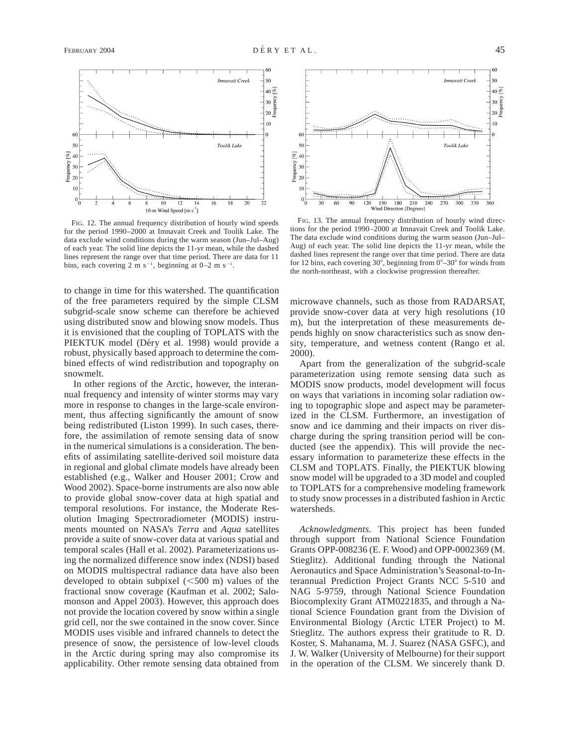

FIG. 12. The annual frequency distribution of hourly wind speeds for the period 1990–2000 at Imnavait Creek and Toolik Lake. The data exclude wind conditions during the warm season (Jun–Jul–Aug) of each year. The solid line depicts the 11-yr mean, while the dashed lines represent the range over that time period. There are data for 11 bins, each covering 2 m s<sup>-1</sup>, beginning at  $0-2$  m s<sup>-1</sup>.

to change in time for this watershed. The quantification of the free parameters required by the simple CLSM subgrid-scale snow scheme can therefore be achieved using distributed snow and blowing snow models. Thus it is envisioned that the coupling of TOPLATS with the PIEKTUK model (Déry et al. 1998) would provide a robust, physically based approach to determine the combined effects of wind redistribution and topography on snowmelt.

In other regions of the Arctic, however, the interannual frequency and intensity of winter storms may vary more in response to changes in the large-scale environment, thus affecting significantly the amount of snow being redistributed (Liston 1999). In such cases, therefore, the assimilation of remote sensing data of snow in the numerical simulations is a consideration. The benefits of assimilating satellite-derived soil moisture data in regional and global climate models have already been established (e.g., Walker and Houser 2001; Crow and Wood 2002). Space-borne instruments are also now able to provide global snow-cover data at high spatial and temporal resolutions. For instance, the Moderate Resolution Imaging Spectroradiometer (MODIS) instruments mounted on NASA's *Terra* and *Aqua* satellites provide a suite of snow-cover data at various spatial and temporal scales (Hall et al. 2002). Parameterizations using the normalized difference snow index (NDSI) based on MODIS multispectral radiance data have also been developed to obtain subpixel  $(<500$  m) values of the fractional snow coverage (Kaufman et al. 2002; Salomonson and Appel 2003). However, this approach does not provide the location covered by snow within a single grid cell, nor the swe contained in the snow cover. Since MODIS uses visible and infrared channels to detect the presence of snow, the persistence of low-level clouds in the Arctic during spring may also compromise its applicability. Other remote sensing data obtained from



FIG. 13. The annual frequency distribution of hourly wind directions for the period 1990–2000 at Imnavait Creek and Toolik Lake. The data exclude wind conditions during the warm season (Jun–Jul– Aug) of each year. The solid line depicts the 11-yr mean, while the dashed lines represent the range over that time period. There are data for 12 bins, each covering  $30^{\circ}$ , beginning from  $0^{\circ}$ – $30^{\circ}$  for winds from the north-northeast, with a clockwise progression thereafter.

microwave channels, such as those from RADARSAT, provide snow-cover data at very high resolutions (10 m), but the interpretation of these measurements depends highly on snow characteristics such as snow density, temperature, and wetness content (Rango et al. 2000).

Apart from the generalization of the subgrid-scale parameterization using remote sensing data such as MODIS snow products, model development will focus on ways that variations in incoming solar radiation owing to topographic slope and aspect may be parameterized in the CLSM. Furthermore, an investigation of snow and ice damming and their impacts on river discharge during the spring transition period will be conducted (see the appendix). This will provide the necessary information to parameterize these effects in the CLSM and TOPLATS. Finally, the PIEKTUK blowing snow model will be upgraded to a 3D model and coupled to TOPLATS for a comprehensive modeling framework to study snow processes in a distributed fashion in Arctic watersheds.

*Acknowledgments.* This project has been funded through support from National Science Foundation Grants OPP-008236 (E. F. Wood) and OPP-0002369 (M. Stieglitz). Additional funding through the National Aeronautics and Space Administration's Seasonal-to-Interannual Prediction Project Grants NCC 5-510 and NAG 5-9759, through National Science Foundation Biocomplexity Grant ATM0221835, and through a National Science Foundation grant from the Division of Environmental Biology (Arctic LTER Project) to M. Stieglitz. The authors express their gratitude to R. D. Koster, S. Mahanama, M. J. Suarez (NASA GSFC), and J. W. Walker (University of Melbourne) for their support in the operation of the CLSM. We sincerely thank D.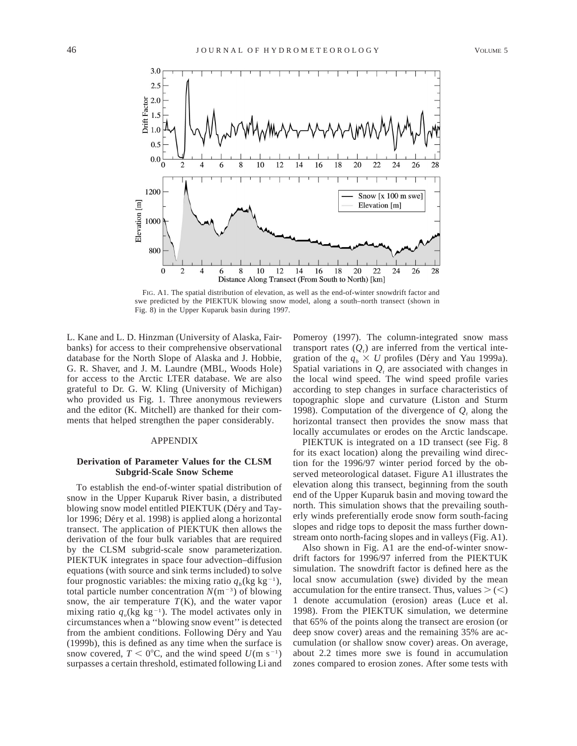

FIG. A1. The spatial distribution of elevation, as well as the end-of-winter snowdrift factor and swe predicted by the PIEKTUK blowing snow model, along a south–north transect (shown in Fig. 8) in the Upper Kuparuk basin during 1997.

L. Kane and L. D. Hinzman (University of Alaska, Fairbanks) for access to their comprehensive observational database for the North Slope of Alaska and J. Hobbie, G. R. Shaver, and J. M. Laundre (MBL, Woods Hole) for access to the Arctic LTER database. We are also grateful to Dr. G. W. Kling (University of Michigan) who provided us Fig. 1. Three anonymous reviewers and the editor (K. Mitchell) are thanked for their comments that helped strengthen the paper considerably.

# APPENDIX

#### **Derivation of Parameter Values for the CLSM Subgrid-Scale Snow Scheme**

To establish the end-of-winter spatial distribution of snow in the Upper Kuparuk River basin, a distributed blowing snow model entitled PIEKTUK (Déry and Taylor 1996; Déry et al. 1998) is applied along a horizontal transect. The application of PIEKTUK then allows the derivation of the four bulk variables that are required by the CLSM subgrid-scale snow parameterization. PIEKTUK integrates in space four advection–diffusion equations (with source and sink terms included) to solve four prognostic variables: the mixing ratio  $q_b$ (kg kg<sup>-1</sup>), total particle number concentration  $N(m^{-3})$  of blowing snow, the air temperature  $T(K)$ , and the water vapor mixing ratio  $q_{\nu}$ (kg kg<sup>-1</sup>). The model activates only in circumstances when a ''blowing snow event'' is detected from the ambient conditions. Following Déry and Yau (1999b), this is defined as any time when the surface is snow covered,  $T < 0^{\circ}$ C, and the wind speed  $U(m s^{-1})$ surpasses a certain threshold, estimated following Li and

Pomeroy (1997). The column-integrated snow mass transport rates  $(Q_t)$  are inferred from the vertical integration of the  $q_b \times U$  profiles (Déry and Yau 1999a). Spatial variations in  $Q_t$  are associated with changes in the local wind speed. The wind speed profile varies according to step changes in surface characteristics of topographic slope and curvature (Liston and Sturm 1998). Computation of the divergence of  $Q_t$  along the horizontal transect then provides the snow mass that locally accumulates or erodes on the Arctic landscape.

PIEKTUK is integrated on a 1D transect (see Fig. 8 for its exact location) along the prevailing wind direction for the 1996/97 winter period forced by the observed meteorological dataset. Figure A1 illustrates the elevation along this transect, beginning from the south end of the Upper Kuparuk basin and moving toward the north. This simulation shows that the prevailing southerly winds preferentially erode snow form south-facing slopes and ridge tops to deposit the mass further downstream onto north-facing slopes and in valleys (Fig. A1).

Also shown in Fig. A1 are the end-of-winter snowdrift factors for 1996/97 inferred from the PIEKTUK simulation. The snowdrift factor is defined here as the local snow accumulation (swe) divided by the mean accumulation for the entire transect. Thus, values  $\geq$  (<) 1 denote accumulation (erosion) areas (Luce et al. 1998). From the PIEKTUK simulation, we determine that 65% of the points along the transect are erosion (or deep snow cover) areas and the remaining 35% are accumulation (or shallow snow cover) areas. On average, about 2.2 times more swe is found in accumulation zones compared to erosion zones. After some tests with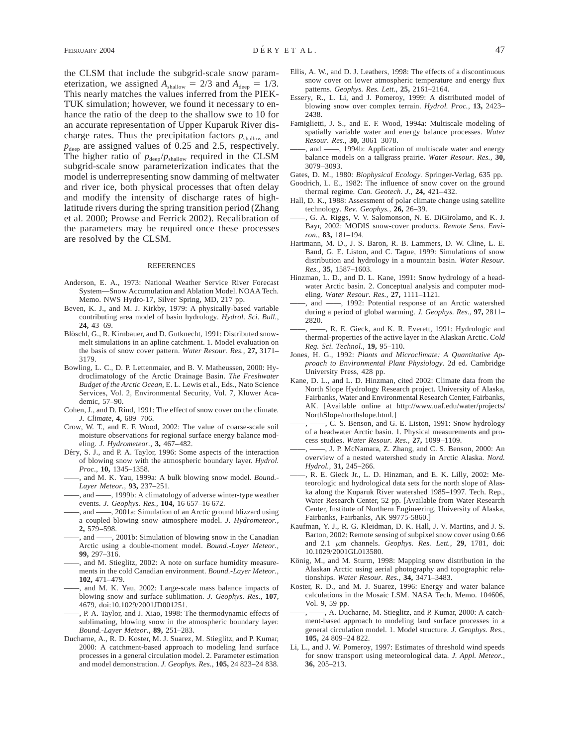the CLSM that include the subgrid-scale snow parameterization, we assigned  $A_{\text{shallow}} = 2/3$  and  $A_{\text{deep}} = 1/3$ . This nearly matches the values inferred from the PIEK-TUK simulation; however, we found it necessary to enhance the ratio of the deep to the shallow swe to 10 for an accurate representation of Upper Kuparuk River discharge rates. Thus the precipitation factors  $p_{\text{shallow}}$  and  $p_{\text{deep}}$  are assigned values of 0.25 and 2.5, respectively. The higher ratio of  $p_{\text{deep}}/p_{\text{shallow}}$  required in the CLSM subgrid-scale snow parameterization indicates that the model is underrepresenting snow damming of meltwater and river ice, both physical processes that often delay and modify the intensity of discharge rates of highlatitude rivers during the spring transition period (Zhang et al. 2000; Prowse and Ferrick 2002). Recalibration of the parameters may be required once these processes are resolved by the CLSM.

#### REFERENCES

- Anderson, E. A., 1973: National Weather Service River Forecast System—Snow Accumulation and Ablation Model. NOAA Tech. Memo. NWS Hydro-17, Silver Spring, MD, 217 pp.
- Beven, K. J., and M. J. Kirkby, 1979: A physically-based variable contributing area model of basin hydrology. *Hydrol. Sci. Bull.,* **24,** 43–69.
- Blöschl, G., R. Kirnbauer, and D. Gutknecht, 1991: Distributed snowmelt simulations in an apline catchment. 1. Model evaluation on the basis of snow cover pattern. *Water Resour. Res.,* **27,** 3171– 3179.
- Bowling, L. C., D. P. Lettenmaier, and B. V. Matheussen, 2000: Hydroclimatology of the Arctic Drainage Basin. *The Freshwater Budget of the Arctic Ocean,* E. L. Lewis et al., Eds., Nato Science Services, Vol. 2, Environmental Security, Vol. 7, Kluwer Academic, 57–90.
- Cohen, J., and D. Rind, 1991: The effect of snow cover on the climate. *J. Climate,* **4,** 689–706.
- Crow, W. T., and E. F. Wood, 2002: The value of coarse-scale soil moisture observations for regional surface energy balance modeling. *J. Hydrometeor.,* **3,** 467–482.
- Déry, S. J., and P. A. Taylor, 1996: Some aspects of the interaction of blowing snow with the atmospheric boundary layer. *Hydrol. Proc.,* **10,** 1345–1358.
- ——, and M. K. Yau, 1999a: A bulk blowing snow model. *Bound.- Layer Meteor.,* **93,** 237–251.
- $-$ , 1999b: A climatology of adverse winter-type weather events. *J. Geophys. Res.,* **104,** 16 657–16 672.
- ——, and ——, 2001a: Simulation of an Arctic ground blizzard using a coupled blowing snow–atmosphere model. *J. Hydrometeor.,* **2,** 579–598.
- ——, and ——, 2001b: Simulation of blowing snow in the Canadian Arctic using a double-moment model. *Bound.-Layer Meteor.,* **99,** 297–316.
- -, and M. Stieglitz, 2002: A note on surface humidity measurements in the cold Canadian environment. *Bound.-Layer Meteor.,* **102,** 471–479.
- and M. K. Yau, 2002: Large-scale mass balance impacts of blowing snow and surface sublimation. *J. Geophys. Res.,* **107**, 4679, doi:10.1029/2001JD001251.
- ——, P. A. Taylor, and J. Xiao, 1998: The thermodynamic effects of sublimating, blowing snow in the atmospheric boundary layer. *Bound.-Layer Meteor.,* **89,** 251–283.
- Ducharne, A., R. D. Koster, M. J. Suarez, M. Stieglitz, and P. Kumar, 2000: A catchment-based approach to modeling land surface processes in a general circulation model. 2. Parameter estimation and model demonstration. *J. Geophys. Res.,* **105,** 24 823–24 838.
- Ellis, A. W., and D. J. Leathers, 1998: The effects of a discontinuous snow cover on lower atmospheric temperature and energy flux patterns. *Geophys. Res. Lett.,* **25,** 2161–2164.
- Essery, R., L. Li, and J. Pomeroy, 1999: A distributed model of blowing snow over complex terrain. *Hydrol. Proc.,* **13,** 2423– 2438.
- Famiglietti, J. S., and E. F. Wood, 1994a: Multiscale modeling of spatially variable water and energy balance processes. *Water Resour. Res.,* **30,** 3061–3078.
- ——, and ——, 1994b: Application of multiscale water and energy balance models on a tallgrass prairie. *Water Resour. Res.,* **30,** 3079–3093.
- Gates, D. M., 1980: *Biophysical Ecology.* Springer-Verlag, 635 pp.
- Goodrich, L. E., 1982: The influence of snow cover on the ground thermal regime. *Can. Geotech. J.,* **24,** 421–432.
- Hall, D. K., 1988: Assessment of polar climate change using satellite technology. *Rev. Geophys.,* **26,** 26–39.
- G. A. Riggs, V. V. Salomonson, N. E. DiGirolamo, and K. J. Bayr, 2002: MODIS snow-cover products. *Remote Sens. Environ.,* **83,** 181–194.
- Hartmann, M. D., J. S. Baron, R. B. Lammers, D. W. Cline, L. E. Band, G. E. Liston, and C. Tague, 1999: Simulations of snow distribution and hydrology in a mountain basin. *Water Resour. Res.,* **35,** 1587–1603.
- Hinzman, L. D., and D. L. Kane, 1991: Snow hydrology of a headwater Arctic basin. 2. Conceptual analysis and computer modeling. *Water Resour. Res.,* **27,** 1111–1121.
- ——, and ——, 1992: Potential response of an Arctic watershed during a period of global warming. *J. Geophys. Res.,* **97,** 2811– 2820.
- ——, ——, R. E. Gieck, and K. R. Everett, 1991: Hydrologic and thermal-properties of the active layer in the Alaskan Arctic. *Cold Reg. Sci. Technol.,* **19,** 95–110.
- Jones, H. G., 1992: *Plants and Microclimate: A Quantitative Approach to Environmental Plant Physiology.* 2d ed. Cambridge University Press, 428 pp.
- Kane, D. L., and L. D. Hinzman, cited 2002: Climate data from the North Slope Hydrology Research project. University of Alaska, Fairbanks, Water and Environmental Research Center, Fairbanks, AK. [Available online at http://www.uaf.edu/water/projects/ NorthSlope/northslope.html.]
- ——, ——, C. S. Benson, and G. E. Liston, 1991: Snow hydrology of a headwater Arctic basin. 1. Physical measurements and process studies. *Water Resour. Res.,* **27,** 1099–1109.
- -, J. P. McNamara, Z. Zhang, and C. S. Benson, 2000: An overview of a nested watershed study in Arctic Alaska. *Nord. Hydrol.,* **31,** 245–266.
- ——, R. E. Gieck Jr., L. D. Hinzman, and E. K. Lilly, 2002: Meteorologic and hydrological data sets for the north slope of Alaska along the Kuparuk River watershed 1985–1997. Tech. Rep., Water Research Center, 52 pp. [Available from Water Research Center, Institute of Northern Engineering, University of Alaska, Fairbanks, Fairbanks, AK 99775-5860.]
- Kaufman, Y. J., R. G. Kleidman, D. K. Hall, J. V. Martins, and J. S. Barton, 2002: Remote sensing of subpixel snow cover using 0.66 and 2.1 <sup>m</sup>m channels. *Geophys. Res. Lett.,* **29**, 1781, doi: 10.1029/2001GL013580.
- König, M., and M. Sturm, 1998: Mapping snow distribution in the Alaskan Arctic using aerial photography and topographic relationships. *Water Resour. Res.,* **34,** 3471–3483.
- Koster, R. D., and M. J. Suarez, 1996: Energy and water balance calculations in the Mosaic LSM. NASA Tech. Memo. 104606, Vol. 9, 59 pp.
- -, A. Ducharne, M. Stieglitz, and P. Kumar, 2000: A catchment-based approach to modeling land surface processes in a general circulation model. 1. Model structure. *J. Geophys. Res.,* **105,** 24 809–24 822.
- Li, L., and J. W. Pomeroy, 1997: Estimates of threshold wind speeds for snow transport using meteorological data. *J. Appl. Meteor.,* **36,** 205–213.